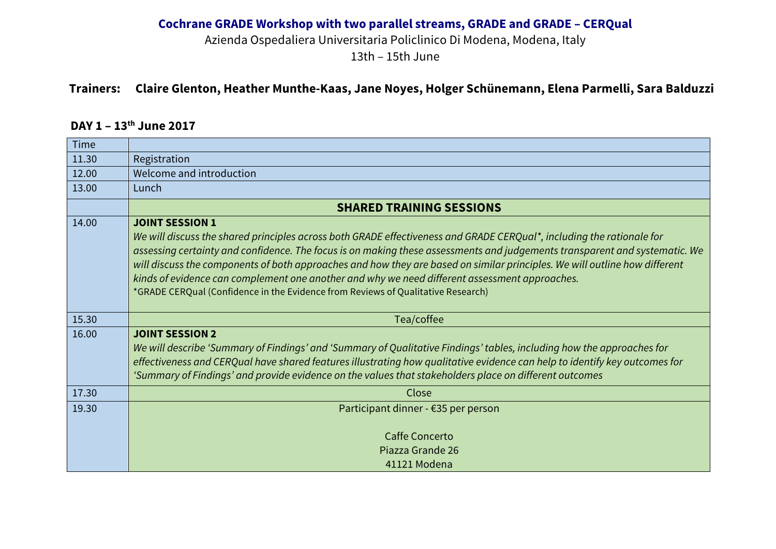Azienda Ospedaliera Universitaria Policlinico Di Modena, Modena, Italy

13th – 15th June

## **Trainers: Claire Glenton, Heather Munthe-Kaas, Jane Noyes, Holger Schünemann, Elena Parmelli, Sara Balduzzi**

# **DAY 1 – 13th June 2017**

| <b>Time</b> |                                                                                                                                                                                                                                                                                                                                                                                                                                                                                                                                                                                                  |  |
|-------------|--------------------------------------------------------------------------------------------------------------------------------------------------------------------------------------------------------------------------------------------------------------------------------------------------------------------------------------------------------------------------------------------------------------------------------------------------------------------------------------------------------------------------------------------------------------------------------------------------|--|
| 11.30       | Registration                                                                                                                                                                                                                                                                                                                                                                                                                                                                                                                                                                                     |  |
| 12.00       | Welcome and introduction                                                                                                                                                                                                                                                                                                                                                                                                                                                                                                                                                                         |  |
| 13.00       | Lunch                                                                                                                                                                                                                                                                                                                                                                                                                                                                                                                                                                                            |  |
|             | <b>SHARED TRAINING SESSIONS</b>                                                                                                                                                                                                                                                                                                                                                                                                                                                                                                                                                                  |  |
| 14.00       | <b>JOINT SESSION 1</b><br>We will discuss the shared principles across both GRADE effectiveness and GRADE CERQual*, including the rationale for<br>assessing certainty and confidence. The focus is on making these assessments and judgements transparent and systematic. We<br>will discuss the components of both approaches and how they are based on similar principles. We will outline how different<br>kinds of evidence can complement one another and why we need different assessment approaches.<br>*GRADE CERQual (Confidence in the Evidence from Reviews of Qualitative Research) |  |
| 15.30       | Tea/coffee                                                                                                                                                                                                                                                                                                                                                                                                                                                                                                                                                                                       |  |
| 16.00       | <b>JOINT SESSION 2</b><br>We will describe 'Summary of Findings' and 'Summary of Qualitative Findings' tables, including how the approaches for<br>effectiveness and CERQual have shared features illustrating how qualitative evidence can help to identify key outcomes for<br>'Summary of Findings' and provide evidence on the values that stakeholders place on different outcomes                                                                                                                                                                                                          |  |
| 17.30       | Close                                                                                                                                                                                                                                                                                                                                                                                                                                                                                                                                                                                            |  |
| 19.30       | Participant dinner - $\epsilon$ 35 per person                                                                                                                                                                                                                                                                                                                                                                                                                                                                                                                                                    |  |
|             | <b>Caffe Concerto</b>                                                                                                                                                                                                                                                                                                                                                                                                                                                                                                                                                                            |  |
|             | Piazza Grande 26<br>41121 Modena                                                                                                                                                                                                                                                                                                                                                                                                                                                                                                                                                                 |  |
|             |                                                                                                                                                                                                                                                                                                                                                                                                                                                                                                                                                                                                  |  |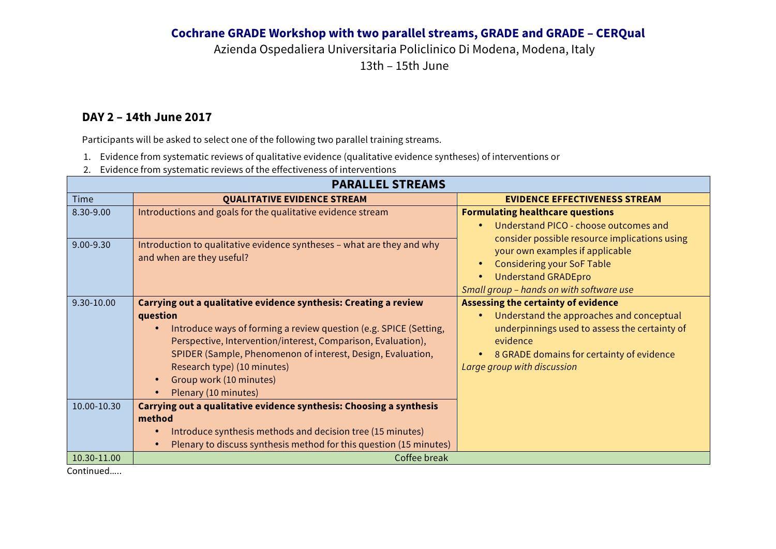Azienda Ospedaliera Universitaria Policlinico Di Modena, Modena, Italy 13th – 15th June

#### **DAY 2 – 14th June 2017**

Participants will be asked to select one of the following two parallel training streams.

- 1. Evidence from systematic reviews of qualitative evidence (qualitative evidence syntheses) of interventions or
- 2. Evidence from systematic reviews of the effectiveness of interventions

| <b>PARALLEL STREAMS</b>   |                                                                                                                                                                                                                                                                                                                                                                                                                                                                                  |                                                                                                                                                                                                                                                                                                  |  |  |
|---------------------------|----------------------------------------------------------------------------------------------------------------------------------------------------------------------------------------------------------------------------------------------------------------------------------------------------------------------------------------------------------------------------------------------------------------------------------------------------------------------------------|--------------------------------------------------------------------------------------------------------------------------------------------------------------------------------------------------------------------------------------------------------------------------------------------------|--|--|
| <b>Time</b>               | <b>QUALITATIVE EVIDENCE STREAM</b>                                                                                                                                                                                                                                                                                                                                                                                                                                               | <b>EVIDENCE EFFECTIVENESS STREAM</b>                                                                                                                                                                                                                                                             |  |  |
| 8.30-9.00<br>9.00-9.30    | Introductions and goals for the qualitative evidence stream<br>Introduction to qualitative evidence syntheses - what are they and why<br>and when are they useful?                                                                                                                                                                                                                                                                                                               | <b>Formulating healthcare questions</b><br>Understand PICO - choose outcomes and<br>$\bullet$<br>consider possible resource implications using<br>your own examples if applicable<br><b>Considering your SoF Table</b><br><b>Understand GRADEpro</b><br>Small group - hands on with software use |  |  |
| 9.30-10.00<br>10.00-10.30 | Carrying out a qualitative evidence synthesis: Creating a review<br>question<br>Introduce ways of forming a review question (e.g. SPICE (Setting,<br>$\bullet$<br>Perspective, Intervention/interest, Comparison, Evaluation),<br>SPIDER (Sample, Phenomenon of interest, Design, Evaluation,<br>Research type) (10 minutes)<br>Group work (10 minutes)<br>$\bullet$<br>Plenary (10 minutes)<br>$\bullet$<br>Carrying out a qualitative evidence synthesis: Choosing a synthesis | <b>Assessing the certainty of evidence</b><br>Understand the approaches and conceptual<br>underpinnings used to assess the certainty of<br>evidence<br>8 GRADE domains for certainty of evidence<br>Large group with discussion                                                                  |  |  |
|                           | method<br>Introduce synthesis methods and decision tree (15 minutes)<br>$\bullet$<br>Plenary to discuss synthesis method for this question (15 minutes)<br>$\bullet$                                                                                                                                                                                                                                                                                                             |                                                                                                                                                                                                                                                                                                  |  |  |
| 10.30-11.00               | Coffee break                                                                                                                                                                                                                                                                                                                                                                                                                                                                     |                                                                                                                                                                                                                                                                                                  |  |  |

Continued…..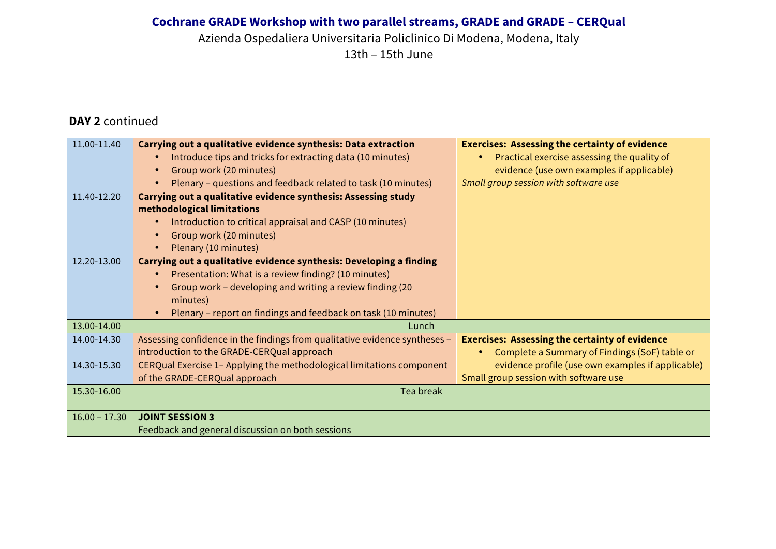Azienda Ospedaliera Universitaria Policlinico Di Modena, Modena, Italy

13th – 15th June

## **DAY 2** continued

| 11.00-11.40     | Carrying out a qualitative evidence synthesis: Data extraction              | <b>Exercises: Assessing the certainty of evidence</b> |
|-----------------|-----------------------------------------------------------------------------|-------------------------------------------------------|
|                 | Introduce tips and tricks for extracting data (10 minutes)                  | Practical exercise assessing the quality of           |
|                 | Group work (20 minutes)<br>$\bullet$                                        | evidence (use own examples if applicable)             |
|                 | Plenary - questions and feedback related to task (10 minutes)               | Small group session with software use                 |
| 11.40-12.20     | Carrying out a qualitative evidence synthesis: Assessing study              |                                                       |
|                 | methodological limitations                                                  |                                                       |
|                 | Introduction to critical appraisal and CASP (10 minutes)                    |                                                       |
|                 | Group work (20 minutes)                                                     |                                                       |
|                 | Plenary (10 minutes)<br>$\bullet$                                           |                                                       |
| 12.20-13.00     | Carrying out a qualitative evidence synthesis: Developing a finding         |                                                       |
|                 | Presentation: What is a review finding? (10 minutes)                        |                                                       |
|                 | Group work - developing and writing a review finding (20                    |                                                       |
|                 | minutes)                                                                    |                                                       |
|                 | Plenary – report on findings and feedback on task (10 minutes)<br>$\bullet$ |                                                       |
| 13.00-14.00     | Lunch                                                                       |                                                       |
| 14.00-14.30     | Assessing confidence in the findings from qualitative evidence syntheses -  | <b>Exercises: Assessing the certainty of evidence</b> |
|                 | introduction to the GRADE-CERQual approach                                  | Complete a Summary of Findings (SoF) table or         |
| 14.30-15.30     | CERQual Exercise 1- Applying the methodological limitations component       | evidence profile (use own examples if applicable)     |
|                 | of the GRADE-CERQual approach                                               | Small group session with software use                 |
| 15.30-16.00     | Tea break                                                                   |                                                       |
|                 |                                                                             |                                                       |
| $16.00 - 17.30$ | <b>JOINT SESSION 3</b>                                                      |                                                       |
|                 | Feedback and general discussion on both sessions                            |                                                       |